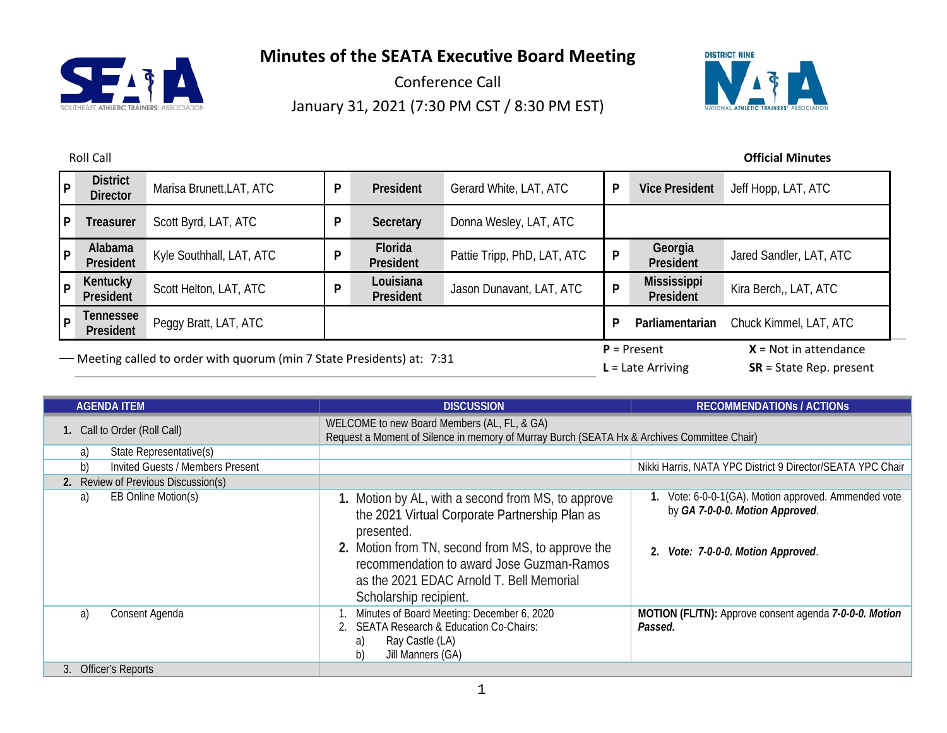

Conference Call January 31, 2021 (7:30 PM CST / 8:30 PM EST)



| $ _{\mathsf{P}}$ | <b>District</b><br><b>Director</b>                                      | Marisa Brunett, LAT, ATC | P | President              | Gerard White, LAT, ATC      |                                      | <b>Vice President</b>                                | Jeff Hopp, LAT, ATC     |
|------------------|-------------------------------------------------------------------------|--------------------------|---|------------------------|-----------------------------|--------------------------------------|------------------------------------------------------|-------------------------|
| l P              | <b>Treasurer</b>                                                        | Scott Byrd, LAT, ATC     | P | Secretary              | Donna Wesley, LAT, ATC      |                                      |                                                      |                         |
| p                | Alabama<br>President                                                    | Kyle Southhall, LAT, ATC |   | Florida<br>President   | Pattie Tripp, PhD, LAT, ATC | P                                    | Georgia<br>President                                 | Jared Sandler, LAT, ATC |
| P                | Kentucky<br>President                                                   | Scott Helton, LAT, ATC   | D | Louisiana<br>President | Jason Dunavant, LAT, ATC    | P                                    | <b>Mississippi</b><br>President                      | Kira Berch,, LAT, ATC   |
| l P              | Tennessee<br>President                                                  | Peggy Bratt, LAT, ATC    |   |                        |                             |                                      | Parliamentarian                                      | Chuck Kimmel, LAT, ATC  |
|                  | - Meeting called to order with quorum (min 7 State Presidents) at: 7:31 |                          |   |                        |                             | $P =$ Present<br>$L =$ Late Arriving | $X = Not in attendance$<br>$SR = State Rep. present$ |                         |

| <b>AGENDA ITEM</b>                            | <b>DISCUSSION</b>                                                                                                                                                                                                                                                                          | <b>RECOMMENDATIONS / ACTIONS</b>                                                                                           |  |  |
|-----------------------------------------------|--------------------------------------------------------------------------------------------------------------------------------------------------------------------------------------------------------------------------------------------------------------------------------------------|----------------------------------------------------------------------------------------------------------------------------|--|--|
| 1. Call to Order (Roll Call)                  | WELCOME to new Board Members (AL, FL, & GA)<br>Request a Moment of Silence in memory of Murray Burch (SEATA Hx & Archives Committee Chair)                                                                                                                                                 |                                                                                                                            |  |  |
| State Representative(s)<br>a)                 |                                                                                                                                                                                                                                                                                            |                                                                                                                            |  |  |
| b)<br><b>Invited Guests / Members Present</b> |                                                                                                                                                                                                                                                                                            | Nikki Harris, NATA YPC District 9 Director/SEATA YPC Chair                                                                 |  |  |
| 2. Review of Previous Discussion(s)           |                                                                                                                                                                                                                                                                                            |                                                                                                                            |  |  |
| EB Online Motion(s)<br>a)                     | 1. Motion by AL, with a second from MS, to approve<br>the 2021 Virtual Corporate Partnership Plan as<br>presented.<br>2. Motion from TN, second from MS, to approve the<br>recommendation to award Jose Guzman-Ramos<br>as the 2021 EDAC Arnold T. Bell Memorial<br>Scholarship recipient. | Vote: 6-0-0-1(GA). Motion approved. Ammended vote<br>by GA 7-0-0-0. Motion Approved.<br>2. Vote: 7-0-0-0. Motion Approved. |  |  |
| Consent Agenda<br>a)                          | Minutes of Board Meeting: December 6, 2020<br>2. SEATA Research & Education Co-Chairs:<br>Ray Castle (LA)<br>a)<br>Jill Manners (GA)<br>b)                                                                                                                                                 | MOTION (FL/TN): Approve consent agenda 7-0-0-0. Motion<br>Passed.                                                          |  |  |
| 3. Officer's Reports                          |                                                                                                                                                                                                                                                                                            |                                                                                                                            |  |  |

## Roll Call **Official Minutes**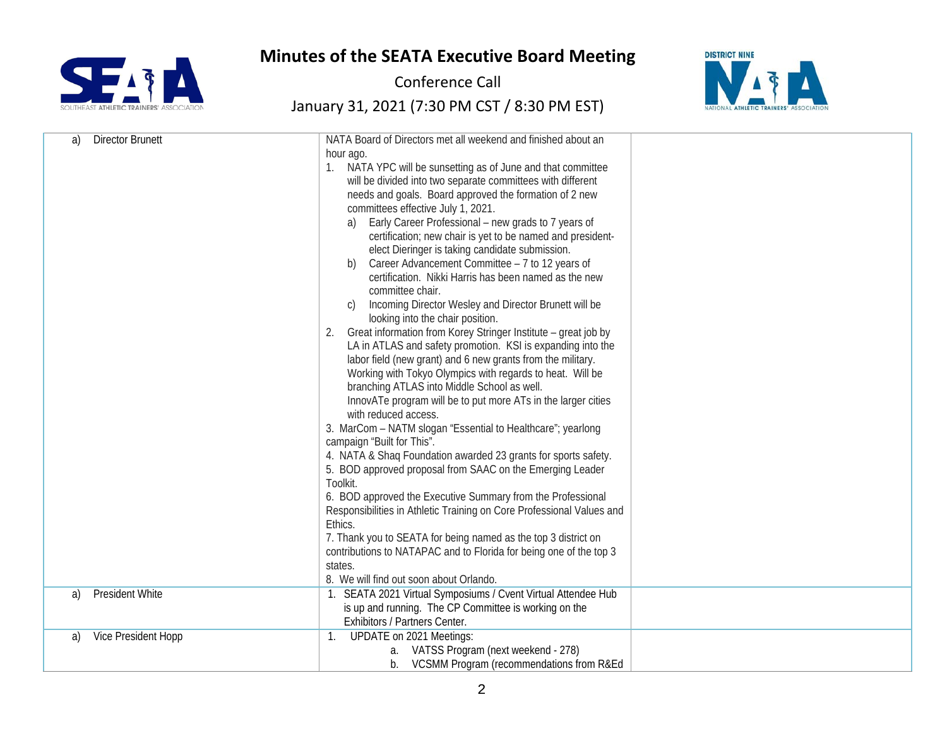

Conference Call



| <b>Director Brunett</b><br>a) | NATA Board of Directors met all weekend and finished about an<br>hour ago.<br>NATA YPC will be sunsetting as of June and that committee<br>1.<br>will be divided into two separate committees with different<br>needs and goals. Board approved the formation of 2 new<br>committees effective July 1, 2021.<br>Early Career Professional - new grads to 7 years of<br>a)<br>certification; new chair is yet to be named and president-<br>elect Dieringer is taking candidate submission.<br>Career Advancement Committee - 7 to 12 years of<br>b)<br>certification. Nikki Harris has been named as the new<br>committee chair.<br>Incoming Director Wesley and Director Brunett will be<br>C)<br>looking into the chair position.<br>Great information from Korey Stringer Institute - great job by<br>2.<br>LA in ATLAS and safety promotion. KSI is expanding into the<br>labor field (new grant) and 6 new grants from the military.<br>Working with Tokyo Olympics with regards to heat. Will be<br>branching ATLAS into Middle School as well.<br>InnovATe program will be to put more ATs in the larger cities<br>with reduced access.<br>3. MarCom - NATM slogan "Essential to Healthcare"; yearlong<br>campaign "Built for This".<br>4. NATA & Shaq Foundation awarded 23 grants for sports safety.<br>5. BOD approved proposal from SAAC on the Emerging Leader<br>Toolkit.<br>6. BOD approved the Executive Summary from the Professional<br>Responsibilities in Athletic Training on Core Professional Values and<br>Ethics.<br>7. Thank you to SEATA for being named as the top 3 district on<br>contributions to NATAPAC and to Florida for being one of the top 3<br>states.<br>8. We will find out soon about Orlando. |  |
|-------------------------------|-----------------------------------------------------------------------------------------------------------------------------------------------------------------------------------------------------------------------------------------------------------------------------------------------------------------------------------------------------------------------------------------------------------------------------------------------------------------------------------------------------------------------------------------------------------------------------------------------------------------------------------------------------------------------------------------------------------------------------------------------------------------------------------------------------------------------------------------------------------------------------------------------------------------------------------------------------------------------------------------------------------------------------------------------------------------------------------------------------------------------------------------------------------------------------------------------------------------------------------------------------------------------------------------------------------------------------------------------------------------------------------------------------------------------------------------------------------------------------------------------------------------------------------------------------------------------------------------------------------------------------------------------------------------------------------------------------------------------------------------|--|
|                               |                                                                                                                                                                                                                                                                                                                                                                                                                                                                                                                                                                                                                                                                                                                                                                                                                                                                                                                                                                                                                                                                                                                                                                                                                                                                                                                                                                                                                                                                                                                                                                                                                                                                                                                                         |  |
|                               |                                                                                                                                                                                                                                                                                                                                                                                                                                                                                                                                                                                                                                                                                                                                                                                                                                                                                                                                                                                                                                                                                                                                                                                                                                                                                                                                                                                                                                                                                                                                                                                                                                                                                                                                         |  |
|                               |                                                                                                                                                                                                                                                                                                                                                                                                                                                                                                                                                                                                                                                                                                                                                                                                                                                                                                                                                                                                                                                                                                                                                                                                                                                                                                                                                                                                                                                                                                                                                                                                                                                                                                                                         |  |
| <b>President White</b><br>a)  | 1. SEATA 2021 Virtual Symposiums / Cvent Virtual Attendee Hub                                                                                                                                                                                                                                                                                                                                                                                                                                                                                                                                                                                                                                                                                                                                                                                                                                                                                                                                                                                                                                                                                                                                                                                                                                                                                                                                                                                                                                                                                                                                                                                                                                                                           |  |
|                               | is up and running. The CP Committee is working on the<br>Exhibitors / Partners Center.                                                                                                                                                                                                                                                                                                                                                                                                                                                                                                                                                                                                                                                                                                                                                                                                                                                                                                                                                                                                                                                                                                                                                                                                                                                                                                                                                                                                                                                                                                                                                                                                                                                  |  |
| Vice President Hopp<br>a)     | <b>UPDATE on 2021 Meetings:</b><br>$\mathbf{1}$ .                                                                                                                                                                                                                                                                                                                                                                                                                                                                                                                                                                                                                                                                                                                                                                                                                                                                                                                                                                                                                                                                                                                                                                                                                                                                                                                                                                                                                                                                                                                                                                                                                                                                                       |  |
|                               | a. VATSS Program (next weekend - 278)                                                                                                                                                                                                                                                                                                                                                                                                                                                                                                                                                                                                                                                                                                                                                                                                                                                                                                                                                                                                                                                                                                                                                                                                                                                                                                                                                                                                                                                                                                                                                                                                                                                                                                   |  |
|                               | VCSMM Program (recommendations from R&Ed<br>b.                                                                                                                                                                                                                                                                                                                                                                                                                                                                                                                                                                                                                                                                                                                                                                                                                                                                                                                                                                                                                                                                                                                                                                                                                                                                                                                                                                                                                                                                                                                                                                                                                                                                                          |  |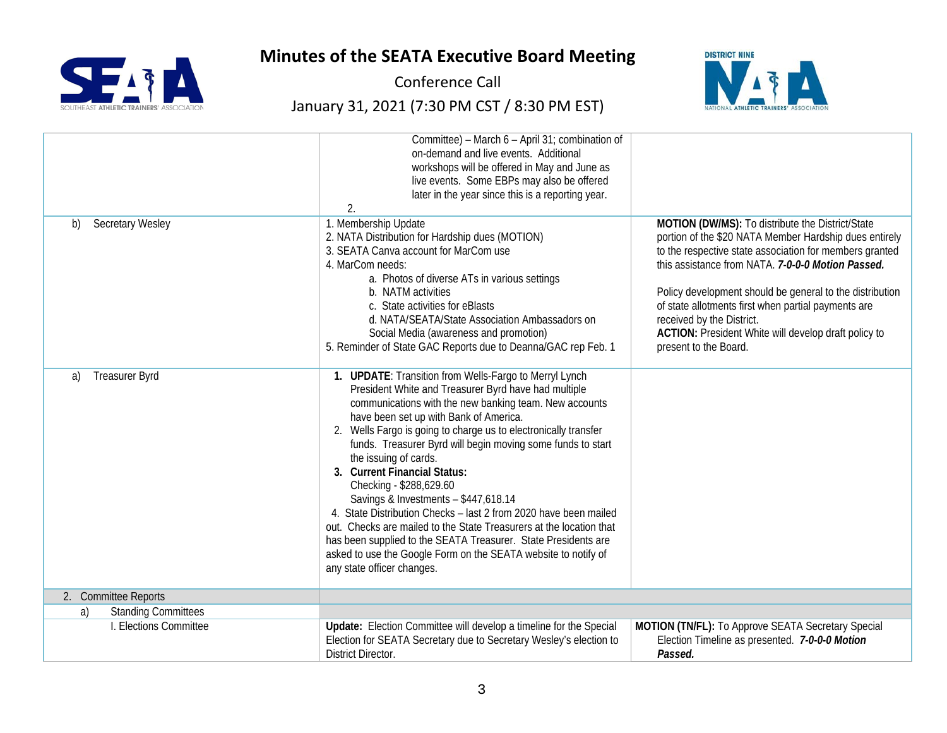

Conference Call



|                                  | Committee) - March 6 - April 31; combination of<br>on-demand and live events. Additional<br>workshops will be offered in May and June as<br>live events. Some EBPs may also be offered<br>later in the year since this is a reporting year.<br>2.                                                                                                                                                                                                                                                                                                                                                                                                                                                                                                                                             |                                                                                                                                                                                                                                                                                                                                                                                                                                                             |
|----------------------------------|-----------------------------------------------------------------------------------------------------------------------------------------------------------------------------------------------------------------------------------------------------------------------------------------------------------------------------------------------------------------------------------------------------------------------------------------------------------------------------------------------------------------------------------------------------------------------------------------------------------------------------------------------------------------------------------------------------------------------------------------------------------------------------------------------|-------------------------------------------------------------------------------------------------------------------------------------------------------------------------------------------------------------------------------------------------------------------------------------------------------------------------------------------------------------------------------------------------------------------------------------------------------------|
| <b>Secretary Wesley</b><br>b)    | 1. Membership Update<br>2. NATA Distribution for Hardship dues (MOTION)<br>3. SEATA Canva account for MarCom use<br>4. MarCom needs:<br>a. Photos of diverse ATs in various settings<br>b. NATM activities<br>c. State activities for eBlasts<br>d. NATA/SEATA/State Association Ambassadors on<br>Social Media (awareness and promotion)<br>5. Reminder of State GAC Reports due to Deanna/GAC rep Feb. 1                                                                                                                                                                                                                                                                                                                                                                                    | MOTION (DW/MS): To distribute the District/State<br>portion of the \$20 NATA Member Hardship dues entirely<br>to the respective state association for members granted<br>this assistance from NATA. 7-0-0-0 Motion Passed.<br>Policy development should be general to the distribution<br>of state allotments first when partial payments are<br>received by the District.<br>ACTION: President White will develop draft policy to<br>present to the Board. |
| <b>Treasurer Byrd</b><br>a)      | 1. UPDATE: Transition from Wells-Fargo to Merryl Lynch<br>President White and Treasurer Byrd have had multiple<br>communications with the new banking team. New accounts<br>have been set up with Bank of America.<br>2. Wells Fargo is going to charge us to electronically transfer<br>funds. Treasurer Byrd will begin moving some funds to start<br>the issuing of cards.<br>3. Current Financial Status:<br>Checking - \$288,629.60<br>Savings & Investments - \$447,618.14<br>4. State Distribution Checks - last 2 from 2020 have been mailed<br>out. Checks are mailed to the State Treasurers at the location that<br>has been supplied to the SEATA Treasurer. State Presidents are<br>asked to use the Google Form on the SEATA website to notify of<br>any state officer changes. |                                                                                                                                                                                                                                                                                                                                                                                                                                                             |
| 2. Committee Reports             |                                                                                                                                                                                                                                                                                                                                                                                                                                                                                                                                                                                                                                                                                                                                                                                               |                                                                                                                                                                                                                                                                                                                                                                                                                                                             |
| <b>Standing Committees</b><br>a) |                                                                                                                                                                                                                                                                                                                                                                                                                                                                                                                                                                                                                                                                                                                                                                                               |                                                                                                                                                                                                                                                                                                                                                                                                                                                             |
| I. Elections Committee           | Update: Election Committee will develop a timeline for the Special<br>Election for SEATA Secretary due to Secretary Wesley's election to<br>District Director.                                                                                                                                                                                                                                                                                                                                                                                                                                                                                                                                                                                                                                | MOTION (TN/FL): To Approve SEATA Secretary Special<br>Election Timeline as presented. 7-0-0-0 Motion<br>Passed.                                                                                                                                                                                                                                                                                                                                             |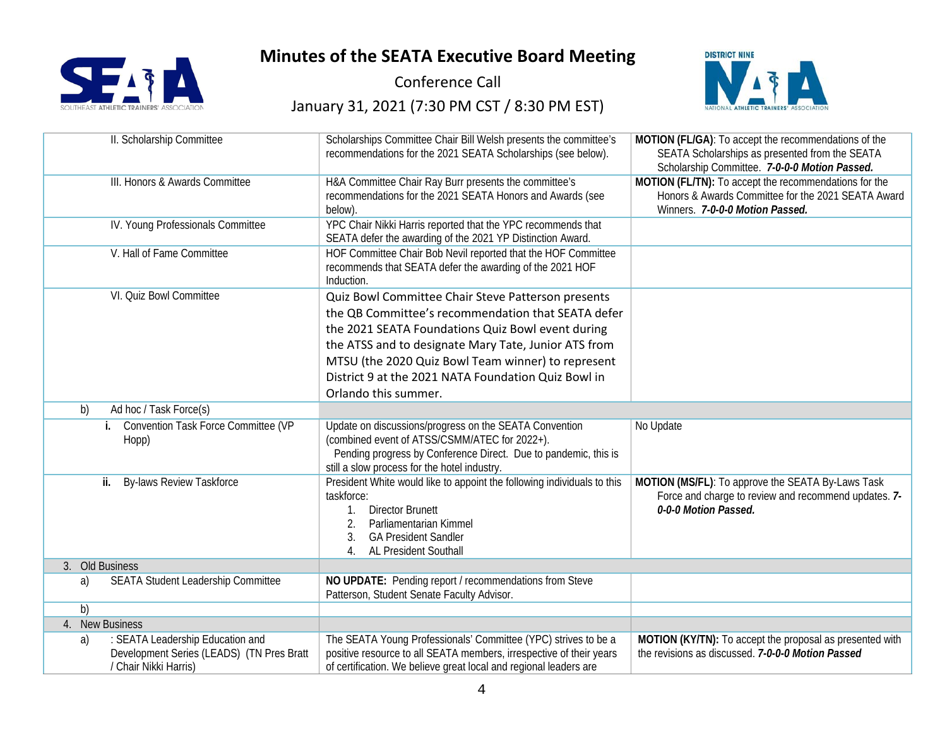



Conference Call



| II. Scholarship Committee                                 | Scholarships Committee Chair Bill Welsh presents the committee's<br>recommendations for the 2021 SEATA Scholarships (see below).                                                                                                                                                                                                                           | MOTION (FL/GA): To accept the recommendations of the<br>SEATA Scholarships as presented from the SEATA<br>Scholarship Committee. 7-0-0-0 Motion Passed. |
|-----------------------------------------------------------|------------------------------------------------------------------------------------------------------------------------------------------------------------------------------------------------------------------------------------------------------------------------------------------------------------------------------------------------------------|---------------------------------------------------------------------------------------------------------------------------------------------------------|
| III. Honors & Awards Committee                            | H&A Committee Chair Ray Burr presents the committee's<br>recommendations for the 2021 SEATA Honors and Awards (see<br>below).                                                                                                                                                                                                                              | MOTION (FL/TN): To accept the recommendations for the<br>Honors & Awards Committee for the 2021 SEATA Award<br>Winners. 7-0-0-0 Motion Passed.          |
| IV. Young Professionals Committee                         | YPC Chair Nikki Harris reported that the YPC recommends that<br>SEATA defer the awarding of the 2021 YP Distinction Award.                                                                                                                                                                                                                                 |                                                                                                                                                         |
| V. Hall of Fame Committee                                 | HOF Committee Chair Bob Nevil reported that the HOF Committee<br>recommends that SEATA defer the awarding of the 2021 HOF<br>Induction.                                                                                                                                                                                                                    |                                                                                                                                                         |
| VI. Quiz Bowl Committee                                   | Quiz Bowl Committee Chair Steve Patterson presents<br>the QB Committee's recommendation that SEATA defer<br>the 2021 SEATA Foundations Quiz Bowl event during<br>the ATSS and to designate Mary Tate, Junior ATS from<br>MTSU (the 2020 Quiz Bowl Team winner) to represent<br>District 9 at the 2021 NATA Foundation Quiz Bowl in<br>Orlando this summer. |                                                                                                                                                         |
| Ad hoc / Task Force(s)<br>b)                              |                                                                                                                                                                                                                                                                                                                                                            |                                                                                                                                                         |
| <b>Convention Task Force Committee (VP</b><br>i.<br>Hopp) | Update on discussions/progress on the SEATA Convention<br>(combined event of ATSS/CSMM/ATEC for 2022+).<br>Pending progress by Conference Direct. Due to pandemic, this is<br>still a slow process for the hotel industry.                                                                                                                                 | No Update                                                                                                                                               |
| ii.<br><b>By-laws Review Taskforce</b>                    |                                                                                                                                                                                                                                                                                                                                                            |                                                                                                                                                         |
|                                                           | President White would like to appoint the following individuals to this<br>taskforce:<br><b>Director Brunett</b><br>Parliamentarian Kimmel<br><b>GA President Sandler</b><br>3.<br>AL President Southall                                                                                                                                                   | MOTION (MS/FL): To approve the SEATA By-Laws Task<br>Force and charge to review and recommend updates. 7-<br>0-0-0 Motion Passed.                       |
| 3. Old Business                                           |                                                                                                                                                                                                                                                                                                                                                            |                                                                                                                                                         |
| <b>SEATA Student Leadership Committee</b><br>a)           | NO UPDATE: Pending report / recommendations from Steve<br>Patterson, Student Senate Faculty Advisor.                                                                                                                                                                                                                                                       |                                                                                                                                                         |
| b)                                                        |                                                                                                                                                                                                                                                                                                                                                            |                                                                                                                                                         |
| 4. New Business<br>: SEATA Leadership Education and<br>a) | The SEATA Young Professionals' Committee (YPC) strives to be a                                                                                                                                                                                                                                                                                             | MOTION (KY/TN): To accept the proposal as presented with                                                                                                |